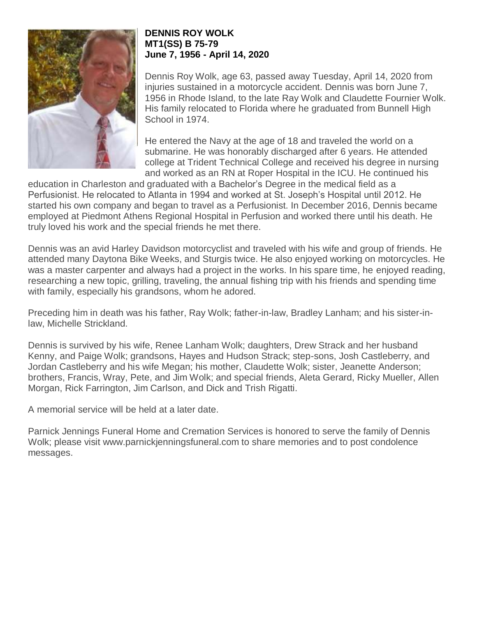

## **DENNIS ROY WOLK MT1(SS) B 75-79 June 7, 1956 - April 14, 2020**

Dennis Roy Wolk, age 63, passed away Tuesday, April 14, 2020 from injuries sustained in a motorcycle accident. Dennis was born June 7, 1956 in Rhode Island, to the late Ray Wolk and Claudette Fournier Wolk. His family relocated to Florida where he graduated from Bunnell High School in 1974.

He entered the Navy at the age of 18 and traveled the world on a submarine. He was honorably discharged after 6 years. He attended college at Trident Technical College and received his degree in nursing and worked as an RN at Roper Hospital in the ICU. He continued his

education in Charleston and graduated with a Bachelor's Degree in the medical field as a Perfusionist. He relocated to Atlanta in 1994 and worked at St. Joseph's Hospital until 2012. He started his own company and began to travel as a Perfusionist. In December 2016, Dennis became employed at Piedmont Athens Regional Hospital in Perfusion and worked there until his death. He truly loved his work and the special friends he met there.

Dennis was an avid Harley Davidson motorcyclist and traveled with his wife and group of friends. He attended many Daytona Bike Weeks, and Sturgis twice. He also enjoyed working on motorcycles. He was a master carpenter and always had a project in the works. In his spare time, he enjoyed reading, researching a new topic, grilling, traveling, the annual fishing trip with his friends and spending time with family, especially his grandsons, whom he adored.

Preceding him in death was his father, Ray Wolk; father-in-law, Bradley Lanham; and his sister-inlaw, Michelle Strickland.

Dennis is survived by his wife, Renee Lanham Wolk; daughters, Drew Strack and her husband Kenny, and Paige Wolk; grandsons, Hayes and Hudson Strack; step-sons, Josh Castleberry, and Jordan Castleberry and his wife Megan; his mother, Claudette Wolk; sister, Jeanette Anderson; brothers, Francis, Wray, Pete, and Jim Wolk; and special friends, Aleta Gerard, Ricky Mueller, Allen Morgan, Rick Farrington, Jim Carlson, and Dick and Trish Rigatti.

A memorial service will be held at a later date.

Parnick Jennings Funeral Home and Cremation Services is honored to serve the family of Dennis Wolk; please visit www.parnickjenningsfuneral.com to share memories and to post condolence messages.